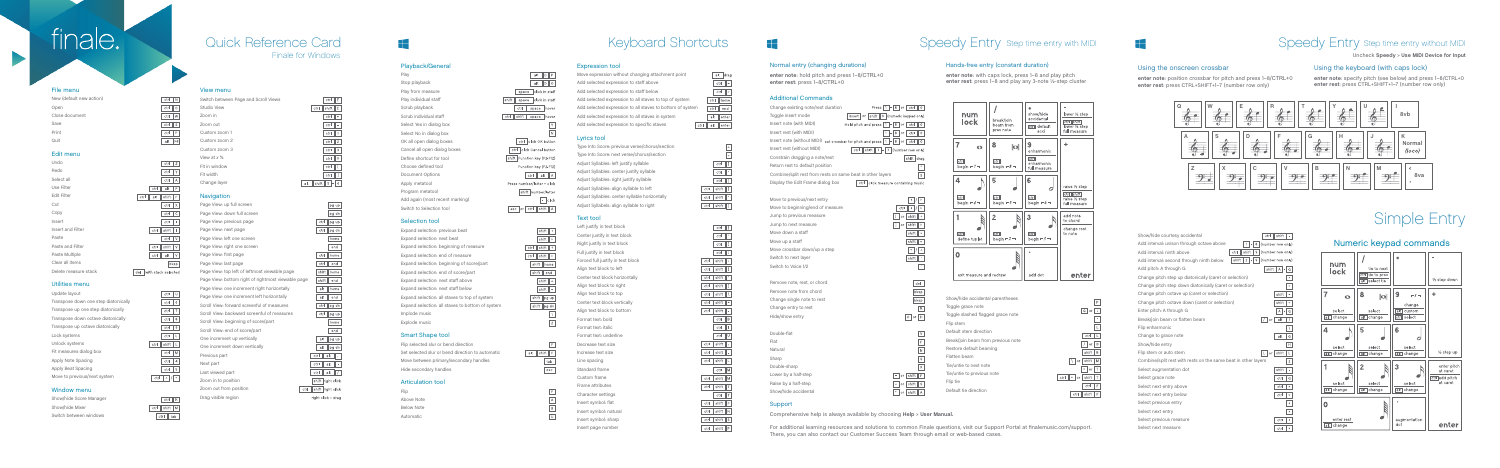### File menu

**The Second Second** 

| New (default new action) |  |
|--------------------------|--|
| Open                     |  |
| Close document           |  |
| Save                     |  |
| Print                    |  |
| Quit                     |  |

### Edit menu

| Undo                 | ctrl<br>Ζ                  |
|----------------------|----------------------------|
| Redo                 | ctrl<br>Υ                  |
| Select all           | ctrl<br>Α                  |
| Use Filter           | ctrl<br>alt<br>F           |
| <b>Edit Filter</b>   | alt<br>shift<br>ctrl<br>F  |
| Cut                  | ctrl<br>Χ                  |
| Copy                 | C<br>ctrl                  |
| Insert               | ctr<br>ı                   |
| Insert and Filter    | ctrl<br>shift<br>ı         |
| Paste                | V<br>ctrl                  |
| Paste and Filter     | ctrl<br>shift<br>V         |
| Paste Multiple       | ctrl<br>alt<br>V           |
| Clear all items      | bksp                       |
| Delete measure stack | with stack selected<br>del |

### Utilities menu

| Update layout                        | ctrl          |
|--------------------------------------|---------------|
| Transpose down one step diatonically | ctrl<br>6     |
| Transpose up one step diatonically   | ctrl          |
| Transpose down octave diatonically   | ctrl<br>8     |
| Transpose up octave diatonically     | ctrl<br>9     |
| Lock systems                         | ctrl          |
| Unlock systems                       | ctrl<br>shift |
| Fit measures dialog box              | Μ<br>ctrl     |
| Apply Note Spacing                   | ctrl<br>4     |
| Apply Beat Spacing                   | 5<br>ctrl     |
| Move to previous/next system         | ctrl          |

| Page View: up full screen                          | pg up                     |
|----------------------------------------------------|---------------------------|
| Page View: down full screen                        | pg dn                     |
| Page View: previous page                           | ctrl<br>pg up             |
| Page View: next page                               | ctrl<br>pg dn             |
| Page View: left one screen                         | home                      |
| Page View: right one screen                        | end                       |
| Page View: first page                              | ctrl<br>home              |
| Page View: last page                               | ctrl<br>end               |
| Page View: top left of leftmost viewable page      | shift<br>home             |
| Page View: bottom right of rightmost viewable page | shift<br>end              |
| Page View: one increment right horizontally        | alt<br>home               |
| Page View: one increment left horizontally         | alt<br>end                |
| Scroll View: forward screenful of measures         | ctr<br>pg dn              |
| Scroll View: backward screenful of measures        | ctrl<br>pg up             |
| Scroll View: beginning of score/part               | home                      |
| Scroll View: end of score/part                     | end                       |
| One increment up vertically                        | alt<br>pg up              |
| One increment down vertically                      | alt<br>pg dn              |
| Previous part                                      | ctrl<br>alt<br>s.         |
| Next part                                          | ctrl<br>alt               |
| Last viewed part                                   | alt<br>ctrl               |
| Zoom in to position                                | shift right click         |
| Zoom out from position                             | shift right click<br>ctrl |
| Drag visible region                                | right click + drag        |

### Window menu

| Show/hide Score Manager |
|-------------------------|
| Show/hide Mixer         |
| Switch between windows  |

|     | ctrl  |     |  |
|-----|-------|-----|--|
| ctr | shift | M   |  |
|     | ctrl  | tab |  |

 $ctr$   $U$ 

### View menu

 $ctr<sub>1</sub> N$ 

 $ctr$   $\boxed{\circ}$ 

 $ctr$   $S$ 

 $\begin{tabular}{|c|c|c|c|c|} \hline \quad \quad & P \\ \hline \end{tabular}$ 

alt F4

| Switch between Page and Scroll Views |
|--------------------------------------|
| Studio View                          |
| Zoom in                              |
| Zoom out                             |
| Custom zoom 1                        |
| Custom zoom 2                        |
| Custom zoom 3                        |
| View at $x$ %                        |
| Fit in window                        |
| Fit width                            |
| Change layer                         |

## **Navigation**

# finale.<sup>1</sup>

## Finale for Windows Quick Reference Card

 $ctr$   $E$ 

 $ctr$  =

 $ctr$   $-$ 

 $ctr$   $1$ 

 $\boxed{\text{ctrl}} \quad \boxed{2}$ 

 $ctr 3$ 

 $ctr$  0

 $ctr$   $1$ 

alt shift  $1 - 4$ 

 $\boxed{\text{ctrl}}$  shift  $E$ 

### Additional Commands

| סטוושטוומו שטוווווסוועס                                     |                                               |        |                                 |
|-------------------------------------------------------------|-----------------------------------------------|--------|---------------------------------|
| Change existing note/rest duration                          | Press $ 1 - 8 $ or $ $                        |        | ∥ (<br>ctrl                     |
| Toggle insert mode                                          | insert   or   shift    0   (numeric keypad on |        |                                 |
| Insert note (with MIDI)                                     | Hold pitch and press $ 1 $ -                  | $8$ or | ctrl<br>$\overline{\mathbf{a}}$ |
| Insert rest (with MIDI)                                     | 1<br>8<br>-1                                  | or     | ctrl<br>$\overline{\mathbf{a}}$ |
| Insert note (without MIDI) set crossbar for pitch and press | 1<br>$-8$ or                                  |        | $\overline{a}$<br>ctrl          |
| Insert rest (without MIDI)                                  | ctrl<br>shift<br>$1$  -  7   (number row on   |        |                                 |
| Constrain dragging a note/rest                              |                                               |        | shift dra                       |
| Return rest to default position                             |                                               |        |                                 |
| Combine/split rest from rests on same beat in other layers  |                                               |        |                                 |
| Display the Edit Frame dialog box                           | ctrl   click measure containing mus           |        |                                 |
| Move to previous/next entry                                 |                                               |        | 4                               |
| Move to beginning/end of measure                            |                                               | ctrl   | ٠                               |
| Jump to previous measure                                    |                                               | or     | shift                           |
| Jump to next measure                                        |                                               | or     | shift                           |
| Move down a staff                                           |                                               |        | shift                           |
| Move up a staff                                             |                                               |        | shift                           |
| Move crossbar down/up a step                                |                                               |        | $\mathbf{v}$                    |
| Switch to next layer                                        |                                               |        | shift                           |
| Switch to Voice 1/2                                         |                                               |        |                                 |
| Remove note, rest, or chord                                 |                                               |        | de                              |
| Remove note from chord                                      |                                               |        | bks                             |
| Change single note to rest                                  |                                               |        | bks                             |
| Change entry to rest                                        |                                               |        | f                               |
| Hide/show entry                                             |                                               |        | $or$    <br>$\circ$             |
| Double-flat                                                 |                                               |        |                                 |
| Flat                                                        |                                               |        |                                 |
| Natural                                                     |                                               |        |                                 |
| Sharp                                                       |                                               |        |                                 |
| Double-sharp                                                |                                               |        |                                 |
| Lower by a half-step                                        |                                               | or     | shift                           |
| Raise by a half-step                                        | $\ddot{}$                                     | or     | shift                           |
| Show/hide accidental                                        |                                               | or     | shift                           |
|                                                             |                                               |        |                                 |

| Format text: underline |  |
|------------------------|--|
| Decrease text size     |  |

Increase text size  $F$ 

| ś    |  |
|------|--|
|      |  |
| ural |  |

Line spacing Standard frame Custom frame Frame attributes Character settings Insert symbol: flat Insert symbol: natu Insert symbol: shar

|  | num<br>lock                           | break/join<br>beam from | ∗<br>show/hide<br>accidental<br>ctrl default | lower 1/2 step<br>ctrl shift<br>lower 1/2 step |                       |  |  |
|--|---------------------------------------|-------------------------|----------------------------------------------|------------------------------------------------|-----------------------|--|--|
|  |                                       | prev note               | acci                                         | full measure                                   |                       |  |  |
|  | $\overline{7}$<br>$\ddot{\mathbf{O}}$ | 8<br>$ \mathbf{o} $     | 9<br>enharmonic                              | ÷                                              |                       |  |  |
|  | ctrl<br>begin $-7-$                   | ctrl<br>begin $-8 -$    | ctrl<br>enharmonic<br>full measure           |                                                |                       |  |  |
|  | 4                                     | 5                       | 6                                            | raise 1/2 step                                 |                       |  |  |
|  | ctrl<br>begin $-4-$                   | ctr<br>begin $-5$ $-$   | ctrl<br>begin $-6$ $-$                       | ctrl shift<br>raise 1/2 step<br>full measure   |                       |  |  |
|  | 1                                     | $\overline{2}$          | 3                                            | add note<br>to chord                           |                       |  |  |
|  | ctrl<br>define tuplet                 | ctrl<br>begin $-2 -$    | ctrl<br>begin $-3 -$                         | change rest<br>to note                         |                       |  |  |
|  | $\overline{O}$                        |                         |                                              |                                                |                       |  |  |
|  | exit measure and redraw               |                         | add dot                                      | enter                                          |                       |  |  |
|  |                                       |                         |                                              |                                                |                       |  |  |
|  | Show/hide accidental parentheses<br>P |                         |                                              |                                                |                       |  |  |
|  | Toggle grace note                     |                         |                                              | $G$ or                                         | $\ddot{\phantom{a}}$  |  |  |
|  | Toggle slashed flagged grace note     |                         |                                              |                                                | $\tilde{\phantom{a}}$ |  |  |
|  | Flip stem<br>Default stem direction   |                         |                                              |                                                | L.                    |  |  |
|  | $\cdot$ $\cdot$ $\cdot$ $\cdot$       |                         |                                              | ctrl                                           | L                     |  |  |

 $\sqrt{ }$  or  $\sqrt{ }$  B

 $shift \nightharpoonup B$ 

 $=$  or  $T$ 

 $ctr$   $F$ 

 $ctr$  shift  $F$ 

 $\sqrt{ }$  or  $\sqrt{ }$  shift  $\sqrt{ }$  M

 $ctr$  = or  $s$ hift  $T$ 

Break/join beam from previous note Restore default beaming

Flatten beam Tie/untie to next note Tie/untie to previous note

Flip tie

Default tie direction

### Playback/General

Play Stop playback Play from measure Play individual staff Scrub playback Scrub individual staff Select Yes in dialog box Select No in dialog box OK all open dialog boxes Cancel all open dialog boxes Define shortcut for tool Choose defined tool Document Options Apply metatool Program metatool Add again (most recent marking) Switch to Selection tool

### Selection tool

Expand selection: previous beat Expand selection: next beat Expand selection: beginning of measure Expand selection: end of measure Expand selection: beginning of score/part Expand selection: end of score/part Expand selection: next staff above Expand selection: next staff below Expand selection: all staves to top of system Expand selection: all staves to bottom of system Implode music Explode music

### Smart Shape tool

Flip selected slur or bend direction Set selected slur or bend direction to automatic Move between primary/secondary handles Hide secondary handles

### Articulation tool

Flip Above Note Below Note Automatic

### $alt$   $D$   $P$  $alt$  D O space click in staff shift space click in staff ctrl space hover ctrl shift space hover  $N$ ctrl click OK button ctrl click Cancel button shift Function key (F2-F12) Function key (F2-F12)  $ctr$  alt  $A$ Press number/letter + click shift number/letter  $\boxed{\cdot}$  click esc or ctrl shift A





## Expression tool

Move expression w Add selected expre Add selected expre Add selected expre Add selected expre Add selected expre Add selected expre

### Lyrics tool

Type Into Score: prev Type Into Score: next Adjust Syllables: left j Adjust Syllables: cent Adjust Syllables: right Adjust Syllables: align Adjust Syllables: cent

### Text tool

Adjust Syllabels: align

## Left justify in text b

| vithout changing attachment point        |      | alt  | drag                              |
|------------------------------------------|------|------|-----------------------------------|
| ession to staff above                    |      | ctrl |                                   |
| ession to staff below                    |      | ctrl |                                   |
| ession to all staves to top of system    |      |      | ctrl   home                       |
| ession to all staves to bottom of system |      | ctrl | end                               |
| ession to all staves in system           |      | alt  | enter                             |
| ession to specific staves                | ctrl |      | alt $\parallel$ enter $\parallel$ |

 $\sqrt{2}$ 

 $\sqrt{ }$ 

 $\boxed{\text{ctrl}}$ 

 $ctr$ 

 $ctr$  $\boxed{1}$ 

 $ctr$  shift  $\boxed{}$ 

ctrl shift '

 $\boxed{\text{ctrl}}$ 

 $ctr$   $\boxed{}$ 

 $ctr$ 

 $ctr$   $1$ 

 $ctr$ 

 $\boxed{\text{ctrl}}$ 

 $\boxed{\text{ctrl}}$ 

 $ctr$  shift  $\overline{\cdot}$ 

 $ctr$  shift  $1$ 

 $\boxed{\text{ctrl}}$ 

 $\boxed{\text{ctrl}}$  shift =

 $ctr$  shift  $-$ 

 $\boxed{\text{ctrl} \mid \text{shift} \mid .}$ 

 $\boxed{\text{ctrl} \mid \text{shift} \mid .}$ 

ctrl shift L

ctrl shift M

 $ctr$  shift  $T$ 

ctrl shift F

ctrl shift N

 $ctr$  shift  $s$ 

 $\boxed{\text{ctrl}}$ 

 $ctr$   $B$ 

 $ctr$   $\boxed{1}$ 

 $ctrl$   $U$ 

 $ctrM$ 

 $ctrl$   $T$ 

| vious verse/chorus/section       |
|----------------------------------|
| t verse/chorus/section           |
| justify syllable                 |
| hter justify syllable            |
| nt justify syllable              |
| ın syllable to left              |
| nter syllable horizontally       |
| <sub>i</sub> n syllable to right |
|                                  |

| Left justify in text block        |
|-----------------------------------|
| Center justify in text block      |
| Right justify in text block       |
| Full justify in text block        |
| Forced full justify in text block |
| Align text block to left          |
| Center text block horizontally    |
| Align text block to right         |
| Align text block to top           |
| Center text block vertically      |
| Align text block to bottom        |
| Format text bold                  |
|                                   |

Format text: bold Format text: italic

| Insert symbol: sharp |
|----------------------|
| Insert page number   |

## Normal entry (changing durations)

**enter note**: hold pitch and press 1–8/CTRL+ 0 **enter rest**: press 1–8/CTRL+ 0

### Hands-free entry (constant duration)

**enter note**: with caps lock, press 1–8 and play pitch **enter rest**: press 1–8 and play any 3-note ½-step cluster

Support

Comprehensive help is always available by choosing **Help** > **User Manual.** 

## Keyboard Shortcuts THE Speedy Entry Step time entry with MIDI

For additional learning resources and solutions to common Finale questions, visit our Support Portal at finalemusic.com/support. There, you can also contact our Customer Success Team through email or web-based cases.

# Speedy Entry Step time entry without MIDI

Show/hide courtesy accidental

Add interval: unison through octave above Add interval: ninth above Add interval: second through ninth below  $\sqrt{\sinh |2 - 9}$  (number row only) Add pitch: A through G Change pitch step up diatonically (caret or selection) Change pitch step down diatonically (caret or selection) Change pitch octave up (caret or selection) Change pitch octave down (caret or selection) Enter pitch: A through G Break/join beam or flatten beam Flip enharmonic Change to grace note Show/hide entry Flip stem or auto stem Combine/split rest with rests on the same beat in other layers Select augmentation dot Select grace note Select next entry above Select next entry below Select previous entry Select next entry Select previous measure Select next measure

### Using the onscreen crossbar

 $\frac{\Box}{\Box}$ 

**enter note**: position crossbar for pitch and press 1–8/CTRL+ 0 **enter rest**: press CTRL+SHIFT+1–7 (number row only)

### Using the keyboard (with caps lock)

**enter note**: specify pitch (see below) and press 1–8/CTRL+0 **enter rest**: press CTRL+SHIFT+1–7 (number row only)

# Simple Entry

## Numeric keypad commands







Uncheck **Speedy**  > **Use MIDI Device for Input**